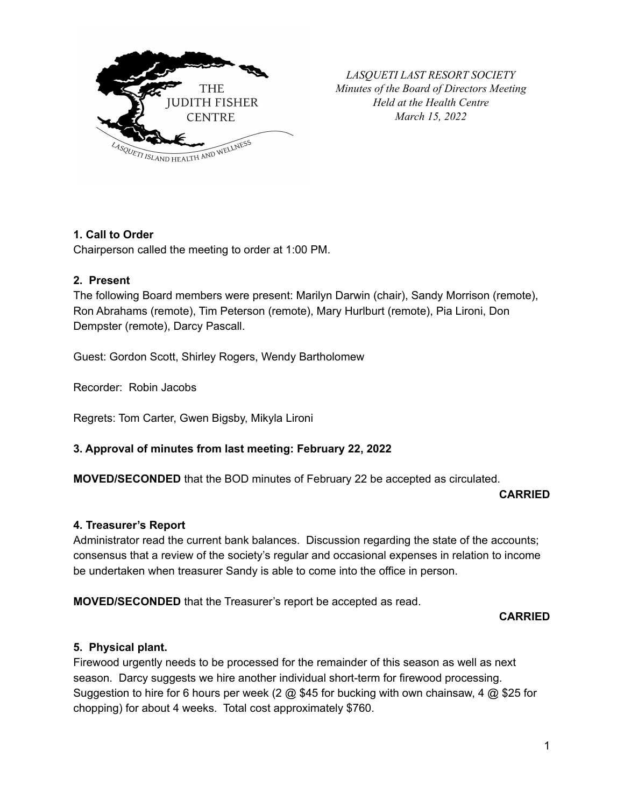

*LASQUETI LAST RESORT SOCIETY Minutes of the Board of Directors Meeting Held at the Health Centre March 15, 2022*

# **1. Call to Order**

Chairperson called the meeting to order at 1:00 PM.

## **2. Present**

The following Board members were present: Marilyn Darwin (chair), Sandy Morrison (remote), Ron Abrahams (remote), Tim Peterson (remote), Mary Hurlburt (remote), Pia Lironi, Don Dempster (remote), Darcy Pascall.

Guest: Gordon Scott, Shirley Rogers, Wendy Bartholomew

Recorder: Robin Jacobs

Regrets: Tom Carter, Gwen Bigsby, Mikyla Lironi

# **3. Approval of minutes from last meeting: February 22, 2022**

**MOVED/SECONDED** that the BOD minutes of February 22 be accepted as circulated.

#### **CARRIED**

#### **4. Treasurer's Report**

Administrator read the current bank balances. Discussion regarding the state of the accounts; consensus that a review of the society's regular and occasional expenses in relation to income be undertaken when treasurer Sandy is able to come into the office in person.

**MOVED/SECONDED** that the Treasurer's report be accepted as read.

**CARRIED**

# **5. Physical plant.**

Firewood urgently needs to be processed for the remainder of this season as well as next season. Darcy suggests we hire another individual short-term for firewood processing. Suggestion to hire for 6 hours per week (2 @ \$45 for bucking with own chainsaw, 4 @ \$25 for chopping) for about 4 weeks. Total cost approximately \$760.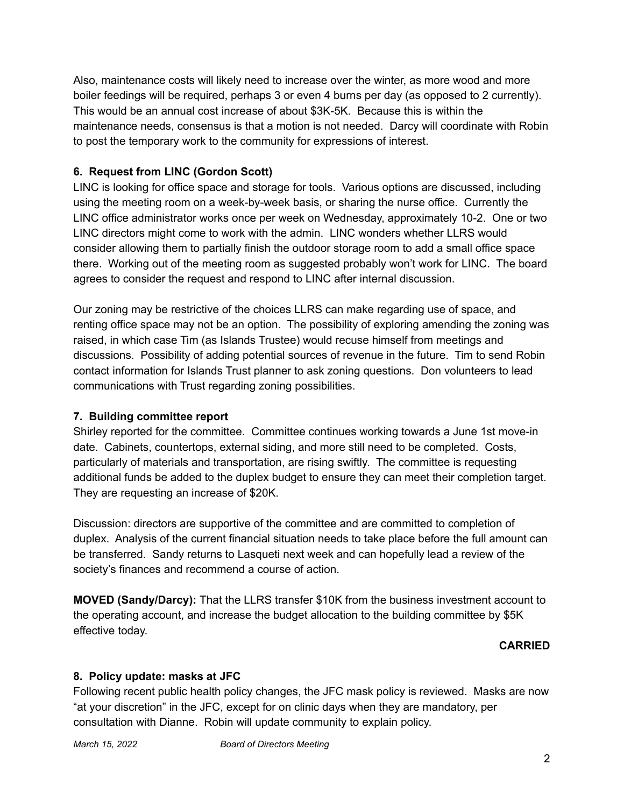Also, maintenance costs will likely need to increase over the winter, as more wood and more boiler feedings will be required, perhaps 3 or even 4 burns per day (as opposed to 2 currently). This would be an annual cost increase of about \$3K-5K. Because this is within the maintenance needs, consensus is that a motion is not needed. Darcy will coordinate with Robin to post the temporary work to the community for expressions of interest.

# **6. Request from LINC (Gordon Scott)**

LINC is looking for office space and storage for tools. Various options are discussed, including using the meeting room on a week-by-week basis, or sharing the nurse office. Currently the LINC office administrator works once per week on Wednesday, approximately 10-2. One or two LINC directors might come to work with the admin. LINC wonders whether LLRS would consider allowing them to partially finish the outdoor storage room to add a small office space there. Working out of the meeting room as suggested probably won't work for LINC. The board agrees to consider the request and respond to LINC after internal discussion.

Our zoning may be restrictive of the choices LLRS can make regarding use of space, and renting office space may not be an option. The possibility of exploring amending the zoning was raised, in which case Tim (as Islands Trustee) would recuse himself from meetings and discussions. Possibility of adding potential sources of revenue in the future. Tim to send Robin contact information for Islands Trust planner to ask zoning questions. Don volunteers to lead communications with Trust regarding zoning possibilities.

# **7. Building committee report**

Shirley reported for the committee. Committee continues working towards a June 1st move-in date. Cabinets, countertops, external siding, and more still need to be completed. Costs, particularly of materials and transportation, are rising swiftly. The committee is requesting additional funds be added to the duplex budget to ensure they can meet their completion target. They are requesting an increase of \$20K.

Discussion: directors are supportive of the committee and are committed to completion of duplex. Analysis of the current financial situation needs to take place before the full amount can be transferred. Sandy returns to Lasqueti next week and can hopefully lead a review of the society's finances and recommend a course of action.

**MOVED (Sandy/Darcy):** That the LLRS transfer \$10K from the business investment account to the operating account, and increase the budget allocation to the building committee by \$5K effective today.

# **CARRIED**

# **8. Policy update: masks at JFC**

Following recent public health policy changes, the JFC mask policy is reviewed. Masks are now "at your discretion" in the JFC, except for on clinic days when they are mandatory, per consultation with Dianne. Robin will update community to explain policy.